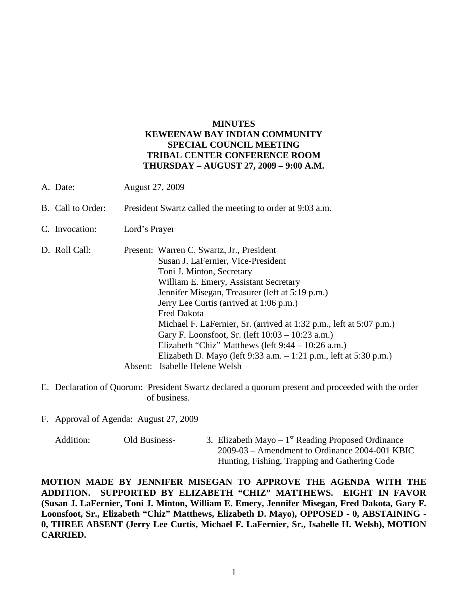## **MINUTES KEWEENAW BAY INDIAN COMMUNITY SPECIAL COUNCIL MEETING TRIBAL CENTER CONFERENCE ROOM THURSDAY – AUGUST 27, 2009 – 9:00 A.M.**

- A. Date: August 27, 2009
- B. Call to Order: President Swartz called the meeting to order at 9:03 a.m.
- C. Invocation: Lord's Prayer
- D. Roll Call: Present: Warren C. Swartz, Jr., President Susan J. LaFernier, Vice-President Toni J. Minton, Secretary William E. Emery, Assistant Secretary Jennifer Misegan, Treasurer (left at 5:19 p.m.) Jerry Lee Curtis (arrived at 1:06 p.m.) Fred Dakota Michael F. LaFernier, Sr. (arrived at 1:32 p.m., left at 5:07 p.m.) Gary F. Loonsfoot, Sr. (left 10:03 – 10:23 a.m.) Elizabeth "Chiz" Matthews (left 9:44 – 10:26 a.m.) Elizabeth D. Mayo (left 9:33 a.m. – 1:21 p.m., left at 5:30 p.m.) Absent: Isabelle Helene Welsh
- E. Declaration of Quorum: President Swartz declared a quorum present and proceeded with the order of business.
- F. Approval of Agenda: August 27, 2009
	- Addition: Old Business- 3. Elizabeth Mayo  $1<sup>st</sup>$  Reading Proposed Ordinance 2009-03 – Amendment to Ordinance 2004-001 KBIC Hunting, Fishing, Trapping and Gathering Code

**MOTION MADE BY JENNIFER MISEGAN TO APPROVE THE AGENDA WITH THE ADDITION. SUPPORTED BY ELIZABETH "CHIZ" MATTHEWS. EIGHT IN FAVOR (Susan J. LaFernier, Toni J. Minton, William E. Emery, Jennifer Misegan, Fred Dakota, Gary F. Loonsfoot, Sr., Elizabeth "Chiz" Matthews, Elizabeth D. Mayo), OPPOSED - 0, ABSTAINING - 0, THREE ABSENT (Jerry Lee Curtis, Michael F. LaFernier, Sr., Isabelle H. Welsh), MOTION CARRIED.**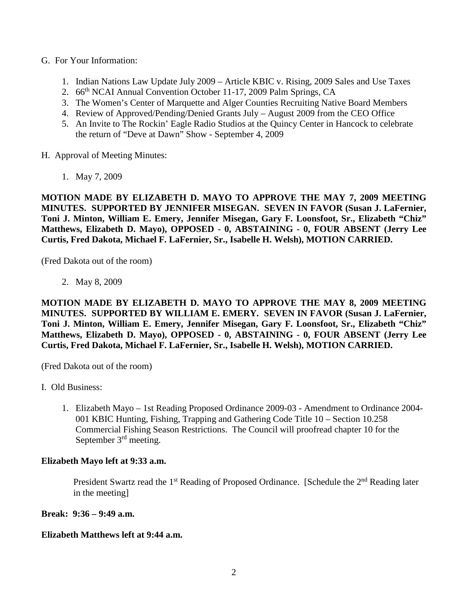- G. For Your Information:
	- 1. Indian Nations Law Update July 2009 Article KBIC v. Rising, 2009 Sales and Use Taxes
	- 2. 66<sup>th</sup> NCAI Annual Convention October 11-17, 2009 Palm Springs, CA
	- 3. The Women's Center of Marquette and Alger Counties Recruiting Native Board Members
	- 4. Review of Approved/Pending/Denied Grants July August 2009 from the CEO Office
	- 5. An Invite to The Rockin' Eagle Radio Studios at the Quincy Center in Hancock to celebrate the return of "Deve at Dawn" Show - September 4, 2009
- H. Approval of Meeting Minutes:
	- 1. May 7, 2009

**MOTION MADE BY ELIZABETH D. MAYO TO APPROVE THE MAY 7, 2009 MEETING MINUTES. SUPPORTED BY JENNIFER MISEGAN. SEVEN IN FAVOR (Susan J. LaFernier, Toni J. Minton, William E. Emery, Jennifer Misegan, Gary F. Loonsfoot, Sr., Elizabeth "Chiz" Matthews, Elizabeth D. Mayo), OPPOSED - 0, ABSTAINING - 0, FOUR ABSENT (Jerry Lee Curtis, Fred Dakota, Michael F. LaFernier, Sr., Isabelle H. Welsh), MOTION CARRIED.**

(Fred Dakota out of the room)

2. May 8, 2009

**MOTION MADE BY ELIZABETH D. MAYO TO APPROVE THE MAY 8, 2009 MEETING MINUTES. SUPPORTED BY WILLIAM E. EMERY. SEVEN IN FAVOR (Susan J. LaFernier, Toni J. Minton, William E. Emery, Jennifer Misegan, Gary F. Loonsfoot, Sr., Elizabeth "Chiz" Matthews, Elizabeth D. Mayo), OPPOSED - 0, ABSTAINING - 0, FOUR ABSENT (Jerry Lee Curtis, Fred Dakota, Michael F. LaFernier, Sr., Isabelle H. Welsh), MOTION CARRIED.**

(Fred Dakota out of the room)

- I. Old Business:
	- 1. Elizabeth Mayo 1st Reading Proposed Ordinance 2009-03 Amendment to Ordinance 2004- 001 KBIC Hunting, Fishing, Trapping and Gathering Code Title 10 – Section 10.258 Commercial Fishing Season Restrictions. The Council will proofread chapter 10 for the September 3<sup>rd</sup> meeting.

## **Elizabeth Mayo left at 9:33 a.m.**

President Swartz read the 1<sup>st</sup> Reading of Proposed Ordinance. [Schedule the 2<sup>nd</sup> Reading later in the meeting]

**Break: 9:36 – 9:49 a.m.**

## **Elizabeth Matthews left at 9:44 a.m.**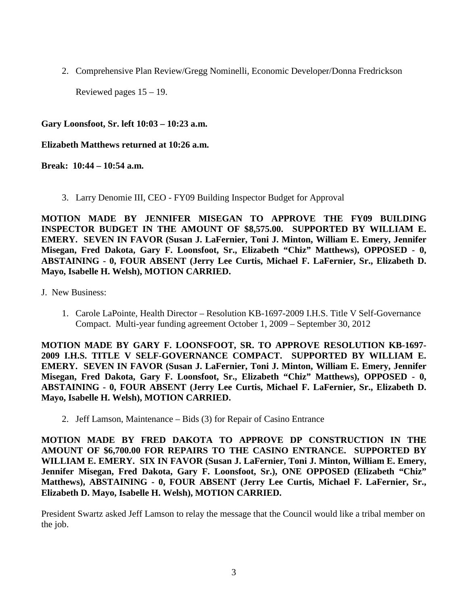2. Comprehensive Plan Review/Gregg Nominelli, Economic Developer/Donna Fredrickson

Reviewed pages 15 – 19.

**Gary Loonsfoot, Sr. left 10:03 – 10:23 a.m.**

**Elizabeth Matthews returned at 10:26 a.m.**

**Break: 10:44 – 10:54 a.m.**

3. Larry Denomie III, CEO - FY09 Building Inspector Budget for Approval

**MOTION MADE BY JENNIFER MISEGAN TO APPROVE THE FY09 BUILDING INSPECTOR BUDGET IN THE AMOUNT OF \$8,575.00. SUPPORTED BY WILLIAM E. EMERY. SEVEN IN FAVOR (Susan J. LaFernier, Toni J. Minton, William E. Emery, Jennifer Misegan, Fred Dakota, Gary F. Loonsfoot, Sr., Elizabeth "Chiz" Matthews), OPPOSED - 0, ABSTAINING - 0, FOUR ABSENT (Jerry Lee Curtis, Michael F. LaFernier, Sr., Elizabeth D. Mayo, Isabelle H. Welsh), MOTION CARRIED.**

- J. New Business:
	- 1. Carole LaPointe, Health Director Resolution KB-1697-2009 I.H.S. Title V Self-Governance Compact. Multi-year funding agreement October 1, 2009 – September 30, 2012

**MOTION MADE BY GARY F. LOONSFOOT, SR. TO APPROVE RESOLUTION KB-1697- 2009 I.H.S. TITLE V SELF-GOVERNANCE COMPACT. SUPPORTED BY WILLIAM E. EMERY. SEVEN IN FAVOR (Susan J. LaFernier, Toni J. Minton, William E. Emery, Jennifer Misegan, Fred Dakota, Gary F. Loonsfoot, Sr., Elizabeth "Chiz" Matthews), OPPOSED - 0, ABSTAINING - 0, FOUR ABSENT (Jerry Lee Curtis, Michael F. LaFernier, Sr., Elizabeth D. Mayo, Isabelle H. Welsh), MOTION CARRIED.**

2. Jeff Lamson, Maintenance – Bids (3) for Repair of Casino Entrance

**MOTION MADE BY FRED DAKOTA TO APPROVE DP CONSTRUCTION IN THE AMOUNT OF \$6,700.00 FOR REPAIRS TO THE CASINO ENTRANCE. SUPPORTED BY WILLIAM E. EMERY. SIX IN FAVOR (Susan J. LaFernier, Toni J. Minton, William E. Emery, Jennifer Misegan, Fred Dakota, Gary F. Loonsfoot, Sr.), ONE OPPOSED (Elizabeth "Chiz" Matthews), ABSTAINING - 0, FOUR ABSENT (Jerry Lee Curtis, Michael F. LaFernier, Sr., Elizabeth D. Mayo, Isabelle H. Welsh), MOTION CARRIED.**

President Swartz asked Jeff Lamson to relay the message that the Council would like a tribal member on the job.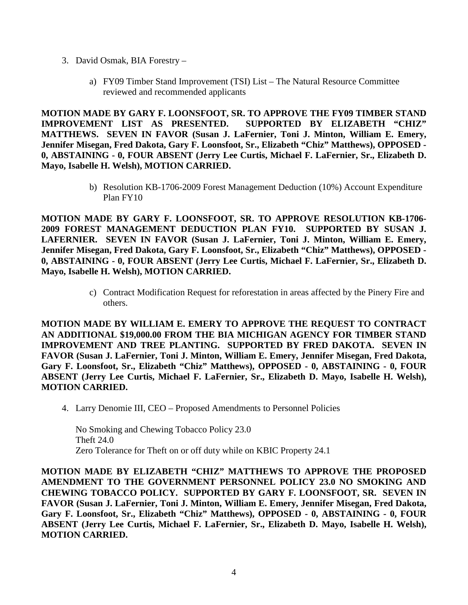- 3. David Osmak, BIA Forestry
	- a) FY09 Timber Stand Improvement (TSI) List The Natural Resource Committee reviewed and recommended applicants

**MOTION MADE BY GARY F. LOONSFOOT, SR. TO APPROVE THE FY09 TIMBER STAND IMPROVEMENT LIST AS PRESENTED. SUPPORTED BY ELIZABETH "CHIZ" MATTHEWS. SEVEN IN FAVOR (Susan J. LaFernier, Toni J. Minton, William E. Emery, Jennifer Misegan, Fred Dakota, Gary F. Loonsfoot, Sr., Elizabeth "Chiz" Matthews), OPPOSED - 0, ABSTAINING - 0, FOUR ABSENT (Jerry Lee Curtis, Michael F. LaFernier, Sr., Elizabeth D. Mayo, Isabelle H. Welsh), MOTION CARRIED.**

> b) Resolution KB-1706-2009 Forest Management Deduction (10%) Account Expenditure Plan FY10

**MOTION MADE BY GARY F. LOONSFOOT, SR. TO APPROVE RESOLUTION KB-1706- 2009 FOREST MANAGEMENT DEDUCTION PLAN FY10. SUPPORTED BY SUSAN J. LAFERNIER. SEVEN IN FAVOR (Susan J. LaFernier, Toni J. Minton, William E. Emery, Jennifer Misegan, Fred Dakota, Gary F. Loonsfoot, Sr., Elizabeth "Chiz" Matthews), OPPOSED - 0, ABSTAINING - 0, FOUR ABSENT (Jerry Lee Curtis, Michael F. LaFernier, Sr., Elizabeth D. Mayo, Isabelle H. Welsh), MOTION CARRIED.**

> c) Contract Modification Request for reforestation in areas affected by the Pinery Fire and others.

**MOTION MADE BY WILLIAM E. EMERY TO APPROVE THE REQUEST TO CONTRACT AN ADDITIONAL \$19,000.00 FROM THE BIA MICHIGAN AGENCY FOR TIMBER STAND IMPROVEMENT AND TREE PLANTING. SUPPORTED BY FRED DAKOTA. SEVEN IN FAVOR (Susan J. LaFernier, Toni J. Minton, William E. Emery, Jennifer Misegan, Fred Dakota, Gary F. Loonsfoot, Sr., Elizabeth "Chiz" Matthews), OPPOSED - 0, ABSTAINING - 0, FOUR ABSENT (Jerry Lee Curtis, Michael F. LaFernier, Sr., Elizabeth D. Mayo, Isabelle H. Welsh), MOTION CARRIED.**

4. Larry Denomie III, CEO – Proposed Amendments to Personnel Policies

No Smoking and Chewing Tobacco Policy 23.0 Theft 24.0 Zero Tolerance for Theft on or off duty while on KBIC Property 24.1

**MOTION MADE BY ELIZABETH "CHIZ" MATTHEWS TO APPROVE THE PROPOSED AMENDMENT TO THE GOVERNMENT PERSONNEL POLICY 23.0 NO SMOKING AND CHEWING TOBACCO POLICY. SUPPORTED BY GARY F. LOONSFOOT, SR. SEVEN IN FAVOR (Susan J. LaFernier, Toni J. Minton, William E. Emery, Jennifer Misegan, Fred Dakota, Gary F. Loonsfoot, Sr., Elizabeth "Chiz" Matthews), OPPOSED - 0, ABSTAINING - 0, FOUR ABSENT (Jerry Lee Curtis, Michael F. LaFernier, Sr., Elizabeth D. Mayo, Isabelle H. Welsh), MOTION CARRIED.**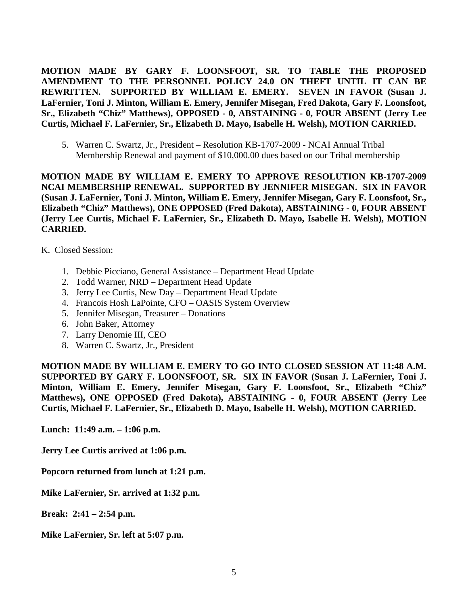**MOTION MADE BY GARY F. LOONSFOOT, SR. TO TABLE THE PROPOSED AMENDMENT TO THE PERSONNEL POLICY 24.0 ON THEFT UNTIL IT CAN BE REWRITTEN. SUPPORTED BY WILLIAM E. EMERY. SEVEN IN FAVOR (Susan J. LaFernier, Toni J. Minton, William E. Emery, Jennifer Misegan, Fred Dakota, Gary F. Loonsfoot, Sr., Elizabeth "Chiz" Matthews), OPPOSED - 0, ABSTAINING - 0, FOUR ABSENT (Jerry Lee Curtis, Michael F. LaFernier, Sr., Elizabeth D. Mayo, Isabelle H. Welsh), MOTION CARRIED.**

5. Warren C. Swartz, Jr., President – Resolution KB-1707-2009 - NCAI Annual Tribal Membership Renewal and payment of \$10,000.00 dues based on our Tribal membership

**MOTION MADE BY WILLIAM E. EMERY TO APPROVE RESOLUTION KB-1707-2009 NCAI MEMBERSHIP RENEWAL. SUPPORTED BY JENNIFER MISEGAN. SIX IN FAVOR (Susan J. LaFernier, Toni J. Minton, William E. Emery, Jennifer Misegan, Gary F. Loonsfoot, Sr., Elizabeth "Chiz" Matthews), ONE OPPOSED (Fred Dakota), ABSTAINING - 0, FOUR ABSENT (Jerry Lee Curtis, Michael F. LaFernier, Sr., Elizabeth D. Mayo, Isabelle H. Welsh), MOTION CARRIED.**

- K. Closed Session:
	- 1. Debbie Picciano, General Assistance Department Head Update
	- 2. Todd Warner, NRD Department Head Update
	- 3. Jerry Lee Curtis, New Day Department Head Update
	- 4. Francois Hosh LaPointe, CFO OASIS System Overview
	- 5. Jennifer Misegan, Treasurer Donations
	- 6. John Baker, Attorney
	- 7. Larry Denomie III, CEO
	- 8. Warren C. Swartz, Jr., President

**MOTION MADE BY WILLIAM E. EMERY TO GO INTO CLOSED SESSION AT 11:48 A.M. SUPPORTED BY GARY F. LOONSFOOT, SR. SIX IN FAVOR (Susan J. LaFernier, Toni J. Minton, William E. Emery, Jennifer Misegan, Gary F. Loonsfoot, Sr., Elizabeth "Chiz" Matthews), ONE OPPOSED (Fred Dakota), ABSTAINING - 0, FOUR ABSENT (Jerry Lee Curtis, Michael F. LaFernier, Sr., Elizabeth D. Mayo, Isabelle H. Welsh), MOTION CARRIED.**

**Lunch: 11:49 a.m. – 1:06 p.m.**

**Jerry Lee Curtis arrived at 1:06 p.m.**

**Popcorn returned from lunch at 1:21 p.m.** 

**Mike LaFernier, Sr. arrived at 1:32 p.m.**

**Break: 2:41 – 2:54 p.m.**

**Mike LaFernier, Sr. left at 5:07 p.m.**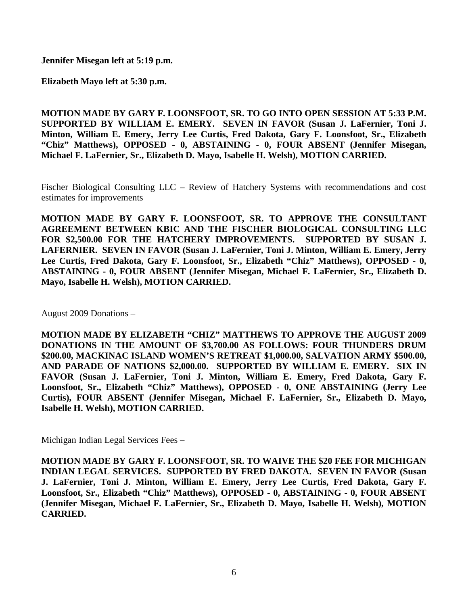**Jennifer Misegan left at 5:19 p.m.**

**Elizabeth Mayo left at 5:30 p.m.**

**MOTION MADE BY GARY F. LOONSFOOT, SR. TO GO INTO OPEN SESSION AT 5:33 P.M. SUPPORTED BY WILLIAM E. EMERY. SEVEN IN FAVOR (Susan J. LaFernier, Toni J. Minton, William E. Emery, Jerry Lee Curtis, Fred Dakota, Gary F. Loonsfoot, Sr., Elizabeth "Chiz" Matthews), OPPOSED - 0, ABSTAINING - 0, FOUR ABSENT (Jennifer Misegan, Michael F. LaFernier, Sr., Elizabeth D. Mayo, Isabelle H. Welsh), MOTION CARRIED.**

Fischer Biological Consulting LLC – Review of Hatchery Systems with recommendations and cost estimates for improvements

**MOTION MADE BY GARY F. LOONSFOOT, SR. TO APPROVE THE CONSULTANT AGREEMENT BETWEEN KBIC AND THE FISCHER BIOLOGICAL CONSULTING LLC**  FOR \$2,500.00 FOR THE HATCHERY IMPROVEMENTS. SUPPORTED BY SUSAN J. **LAFERNIER. SEVEN IN FAVOR (Susan J. LaFernier, Toni J. Minton, William E. Emery, Jerry Lee Curtis, Fred Dakota, Gary F. Loonsfoot, Sr., Elizabeth "Chiz" Matthews), OPPOSED - 0, ABSTAINING - 0, FOUR ABSENT (Jennifer Misegan, Michael F. LaFernier, Sr., Elizabeth D. Mayo, Isabelle H. Welsh), MOTION CARRIED.**

August 2009 Donations –

**MOTION MADE BY ELIZABETH "CHIZ" MATTHEWS TO APPROVE THE AUGUST 2009 DONATIONS IN THE AMOUNT OF \$3,700.00 AS FOLLOWS: FOUR THUNDERS DRUM \$200.00, MACKINAC ISLAND WOMEN'S RETREAT \$1,000.00, SALVATION ARMY \$500.00, AND PARADE OF NATIONS \$2,000.00. SUPPORTED BY WILLIAM E. EMERY. SIX IN FAVOR (Susan J. LaFernier, Toni J. Minton, William E. Emery, Fred Dakota, Gary F. Loonsfoot, Sr., Elizabeth "Chiz" Matthews), OPPOSED - 0, ONE ABSTAINING (Jerry Lee Curtis), FOUR ABSENT (Jennifer Misegan, Michael F. LaFernier, Sr., Elizabeth D. Mayo, Isabelle H. Welsh), MOTION CARRIED.**

Michigan Indian Legal Services Fees –

**MOTION MADE BY GARY F. LOONSFOOT, SR. TO WAIVE THE \$20 FEE FOR MICHIGAN INDIAN LEGAL SERVICES. SUPPORTED BY FRED DAKOTA. SEVEN IN FAVOR (Susan J. LaFernier, Toni J. Minton, William E. Emery, Jerry Lee Curtis, Fred Dakota, Gary F. Loonsfoot, Sr., Elizabeth "Chiz" Matthews), OPPOSED - 0, ABSTAINING - 0, FOUR ABSENT (Jennifer Misegan, Michael F. LaFernier, Sr., Elizabeth D. Mayo, Isabelle H. Welsh), MOTION CARRIED.**